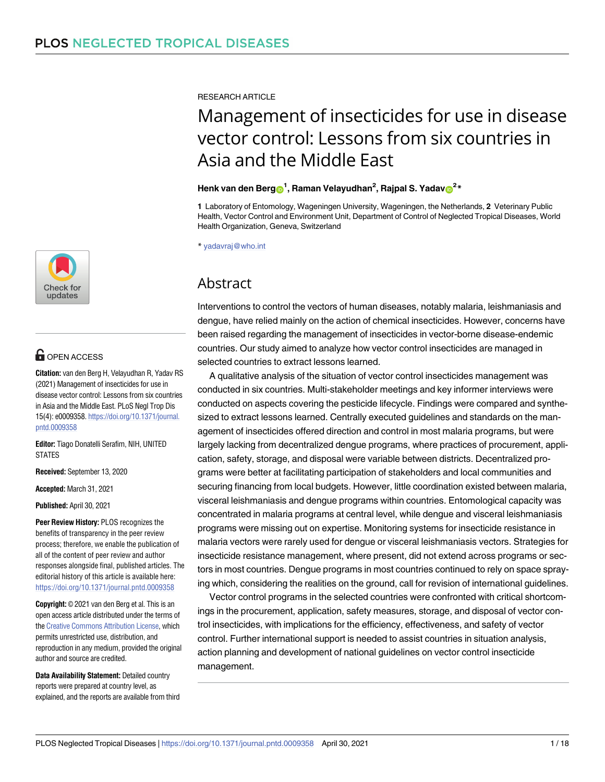

# **OPEN ACCESS**

**Citation:** van den Berg H, Velayudhan R, Yadav RS (2021) Management of insecticides for use in disease vector control: Lessons from six countries in Asia and the Middle East. PLoS Negl Trop Dis 15(4): e0009358. [https://doi.org/10.1371/journal.](https://doi.org/10.1371/journal.pntd.0009358) [pntd.0009358](https://doi.org/10.1371/journal.pntd.0009358)

**Editor:** Tiago Donatelli Serafim, NIH, UNITED STATES

**Received:** September 13, 2020

**Accepted:** March 31, 2021

**Published:** April 30, 2021

**Peer Review History:** PLOS recognizes the benefits of transparency in the peer review process; therefore, we enable the publication of all of the content of peer review and author responses alongside final, published articles. The editorial history of this article is available here: <https://doi.org/10.1371/journal.pntd.0009358>

**Copyright:** © 2021 van den Berg et al. This is an open access article distributed under the terms of the Creative [Commons](http://creativecommons.org/licenses/by/4.0/) Attribution License, which permits unrestricted use, distribution, and reproduction in any medium, provided the original author and source are credited.

**Data Availability Statement:** Detailed country reports were prepared at country level, as explained, and the reports are available from third RESEARCH ARTICLE

# Management of insecticides for use in disease vector control: Lessons from six countries in Asia and the Middle East

# $\mathbf{H}$ enk van den Berg $\mathbf{O}^1$ , Raman Velayudhan<sup>2</sup>, Rajpal S. Yadav $\mathbf{O}^{2*}$

**1** Laboratory of Entomology, Wageningen University, Wageningen, the Netherlands, **2** Veterinary Public Health, Vector Control and Environment Unit, Department of Control of Neglected Tropical Diseases, World Health Organization, Geneva, Switzerland

\* yadavraj@who.int

# Abstract

Interventions to control the vectors of human diseases, notably malaria, leishmaniasis and dengue, have relied mainly on the action of chemical insecticides. However, concerns have been raised regarding the management of insecticides in vector-borne disease-endemic countries. Our study aimed to analyze how vector control insecticides are managed in selected countries to extract lessons learned.

A qualitative analysis of the situation of vector control insecticides management was conducted in six countries. Multi-stakeholder meetings and key informer interviews were conducted on aspects covering the pesticide lifecycle. Findings were compared and synthesized to extract lessons learned. Centrally executed guidelines and standards on the management of insecticides offered direction and control in most malaria programs, but were largely lacking from decentralized dengue programs, where practices of procurement, application, safety, storage, and disposal were variable between districts. Decentralized programs were better at facilitating participation of stakeholders and local communities and securing financing from local budgets. However, little coordination existed between malaria, visceral leishmaniasis and dengue programs within countries. Entomological capacity was concentrated in malaria programs at central level, while dengue and visceral leishmaniasis programs were missing out on expertise. Monitoring systems for insecticide resistance in malaria vectors were rarely used for dengue or visceral leishmaniasis vectors. Strategies for insecticide resistance management, where present, did not extend across programs or sectors in most countries. Dengue programs in most countries continued to rely on space spraying which, considering the realities on the ground, call for revision of international guidelines.

Vector control programs in the selected countries were confronted with critical shortcomings in the procurement, application, safety measures, storage, and disposal of vector control insecticides, with implications for the efficiency, effectiveness, and safety of vector control. Further international support is needed to assist countries in situation analysis, action planning and development of national guidelines on vector control insecticide management.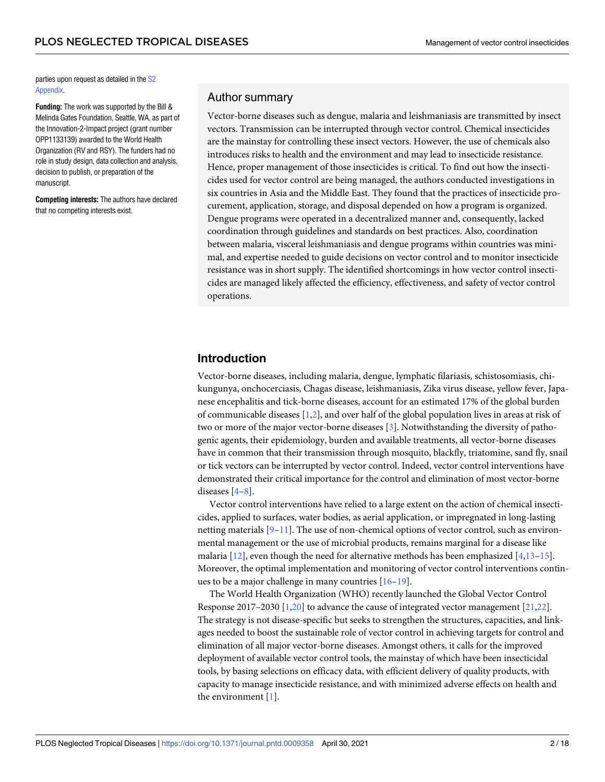<span id="page-1-0"></span>parties upon request as detailed in the [S2](#page-14-0) [Appendix.](#page-14-0)

**Funding:** The work was supported by the Bill & Melinda Gates Foundation, Seattle, WA, as part of the Innovation-2-Impact project (grant number OPP1133139) awarded to the World Health Organization (RV and RSY). The funders had no role in study design, data collection and analysis, decision to publish, or preparation of the manuscript.

**Competing interests:** The authors have declared that no competing interests exist.

# Author summary

Vector-borne diseases such as dengue, malaria and leishmaniasis are transmitted by insect vectors. Transmission can be interrupted through vector control. Chemical insecticides are the mainstay for controlling these insect vectors. However, the use of chemicals also introduces risks to health and the environment and may lead to insecticide resistance. Hence, proper management of those insecticides is critical. To find out how the insecticides used for vector control are being managed, the authors conducted investigations in six countries in Asia and the Middle East. They found that the practices of insecticide procurement, application, storage, and disposal depended on how a program is organized. Dengue programs were operated in a decentralized manner and, consequently, lacked coordination through guidelines and standards on best practices. Also, coordination between malaria, visceral leishmaniasis and dengue programs within countries was minimal, and expertise needed to guide decisions on vector control and to monitor insecticide resistance was in short supply. The identified shortcomings in how vector control insecticides are managed likely affected the efficiency, effectiveness, and safety of vector control operations.

# **Introduction**

Vector-borne diseases, including malaria, dengue, lymphatic filariasis, schistosomiasis, chikungunya, onchocerciasis, Chagas disease, leishmaniasis, Zika virus disease, yellow fever, Japanese encephalitis and tick-borne diseases, account for an estimated 17% of the global burden of communicable diseases [\[1,2\]](#page-15-0), and over half of the global population lives in areas at risk of two or more of the major vector-borne diseases [[3](#page-15-0)]. Notwithstanding the diversity of pathogenic agents, their epidemiology, burden and available treatments, all vector-borne diseases have in common that their transmission through mosquito, blackfly, triatomine, sand fly, snail or tick vectors can be interrupted by vector control. Indeed, vector control interventions have demonstrated their critical importance for the control and elimination of most vector-borne diseases [\[4–8\]](#page-15-0).

Vector control interventions have relied to a large extent on the action of chemical insecticides, applied to surfaces, water bodies, as aerial application, or impregnated in long-lasting netting materials [[9–11](#page-15-0)]. The use of non-chemical options of vector control, such as environmental management or the use of microbial products, remains marginal for a disease like malaria [[12](#page-15-0)], even though the need for alternative methods has been emphasized [[4,13](#page-15-0)–[15](#page-15-0)]. Moreover, the optimal implementation and monitoring of vector control interventions continues to be a major challenge in many countries [\[16–19](#page-15-0)].

The World Health Organization (WHO) recently launched the Global Vector Control Response 2017–2030 [[1](#page-15-0),[20](#page-15-0)] to advance the cause of integrated vector management [[21](#page-15-0),[22](#page-16-0)]. The strategy is not disease-specific but seeks to strengthen the structures, capacities, and linkages needed to boost the sustainable role of vector control in achieving targets for control and elimination of all major vector-borne diseases. Amongst others, it calls for the improved deployment of available vector control tools, the mainstay of which have been insecticidal tools, by basing selections on efficacy data, with efficient delivery of quality products, with capacity to manage insecticide resistance, and with minimized adverse effects on health and the environment [\[1](#page-15-0)].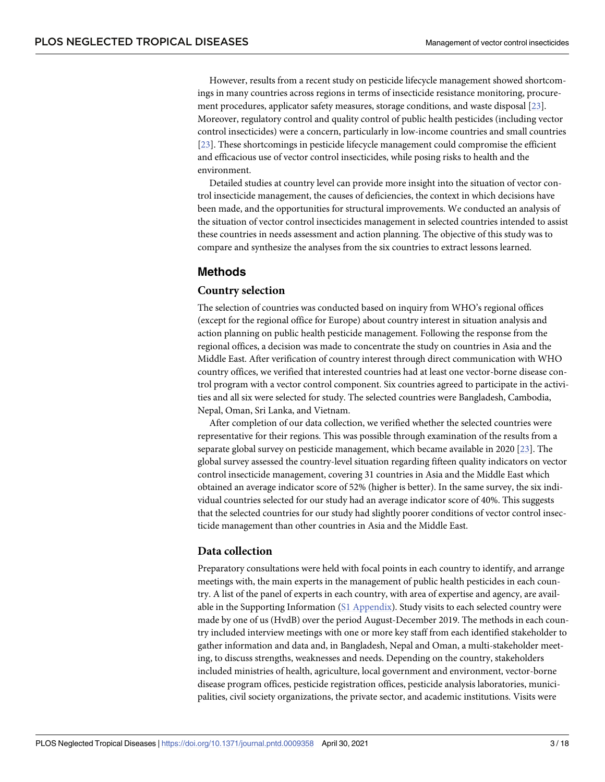<span id="page-2-0"></span>However, results from a recent study on pesticide lifecycle management showed shortcomings in many countries across regions in terms of insecticide resistance monitoring, procurement procedures, applicator safety measures, storage conditions, and waste disposal [\[23\]](#page-16-0). Moreover, regulatory control and quality control of public health pesticides (including vector control insecticides) were a concern, particularly in low-income countries and small countries [\[23\]](#page-16-0). These shortcomings in pesticide lifecycle management could compromise the efficient and efficacious use of vector control insecticides, while posing risks to health and the environment.

Detailed studies at country level can provide more insight into the situation of vector control insecticide management, the causes of deficiencies, the context in which decisions have been made, and the opportunities for structural improvements. We conducted an analysis of the situation of vector control insecticides management in selected countries intended to assist these countries in needs assessment and action planning. The objective of this study was to compare and synthesize the analyses from the six countries to extract lessons learned.

# **Methods**

# **Country selection**

The selection of countries was conducted based on inquiry from WHO's regional offices (except for the regional office for Europe) about country interest in situation analysis and action planning on public health pesticide management. Following the response from the regional offices, a decision was made to concentrate the study on countries in Asia and the Middle East. After verification of country interest through direct communication with WHO country offices, we verified that interested countries had at least one vector-borne disease control program with a vector control component. Six countries agreed to participate in the activities and all six were selected for study. The selected countries were Bangladesh, Cambodia, Nepal, Oman, Sri Lanka, and Vietnam.

After completion of our data collection, we verified whether the selected countries were representative for their regions. This was possible through examination of the results from a separate global survey on pesticide management, which became available in 2020 [[23\]](#page-16-0). The global survey assessed the country-level situation regarding fifteen quality indicators on vector control insecticide management, covering 31 countries in Asia and the Middle East which obtained an average indicator score of 52% (higher is better). In the same survey, the six individual countries selected for our study had an average indicator score of 40%. This suggests that the selected countries for our study had slightly poorer conditions of vector control insecticide management than other countries in Asia and the Middle East.

# **Data collection**

Preparatory consultations were held with focal points in each country to identify, and arrange meetings with, the main experts in the management of public health pesticides in each country. A list of the panel of experts in each country, with area of expertise and agency, are available in the Supporting Information (S1 [Appendix\)](#page-14-0). Study visits to each selected country were made by one of us (HvdB) over the period August-December 2019. The methods in each country included interview meetings with one or more key staff from each identified stakeholder to gather information and data and, in Bangladesh, Nepal and Oman, a multi-stakeholder meeting, to discuss strengths, weaknesses and needs. Depending on the country, stakeholders included ministries of health, agriculture, local government and environment, vector-borne disease program offices, pesticide registration offices, pesticide analysis laboratories, municipalities, civil society organizations, the private sector, and academic institutions. Visits were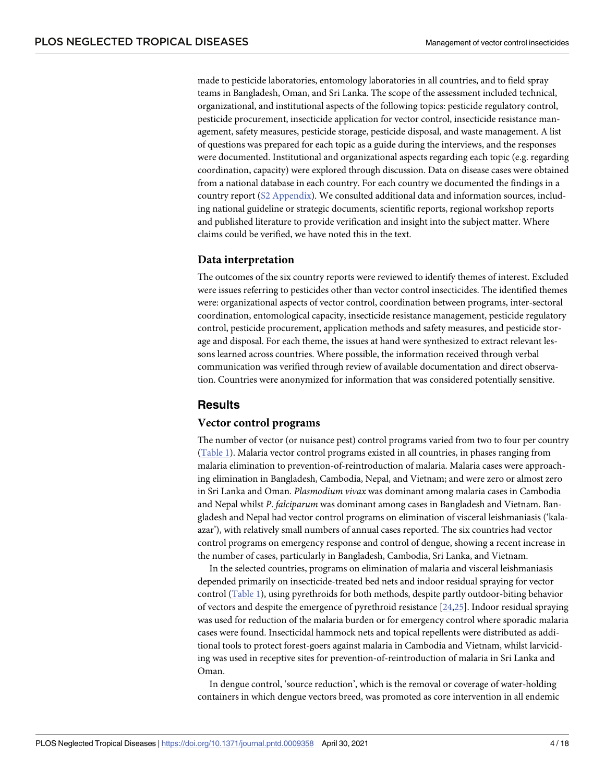<span id="page-3-0"></span>made to pesticide laboratories, entomology laboratories in all countries, and to field spray teams in Bangladesh, Oman, and Sri Lanka. The scope of the assessment included technical, organizational, and institutional aspects of the following topics: pesticide regulatory control, pesticide procurement, insecticide application for vector control, insecticide resistance management, safety measures, pesticide storage, pesticide disposal, and waste management. A list of questions was prepared for each topic as a guide during the interviews, and the responses were documented. Institutional and organizational aspects regarding each topic (e.g. regarding coordination, capacity) were explored through discussion. Data on disease cases were obtained from a national database in each country. For each country we documented the findings in a country report (S2 [Appendix](#page-14-0)). We consulted additional data and information sources, including national guideline or strategic documents, scientific reports, regional workshop reports and published literature to provide verification and insight into the subject matter. Where claims could be verified, we have noted this in the text.

# **Data interpretation**

The outcomes of the six country reports were reviewed to identify themes of interest. Excluded were issues referring to pesticides other than vector control insecticides. The identified themes were: organizational aspects of vector control, coordination between programs, inter-sectoral coordination, entomological capacity, insecticide resistance management, pesticide regulatory control, pesticide procurement, application methods and safety measures, and pesticide storage and disposal. For each theme, the issues at hand were synthesized to extract relevant lessons learned across countries. Where possible, the information received through verbal communication was verified through review of available documentation and direct observation. Countries were anonymized for information that was considered potentially sensitive.

# **Results**

# **Vector control programs**

The number of vector (or nuisance pest) control programs varied from two to four per country [\(Table](#page-4-0) 1). Malaria vector control programs existed in all countries, in phases ranging from malaria elimination to prevention-of-reintroduction of malaria. Malaria cases were approaching elimination in Bangladesh, Cambodia, Nepal, and Vietnam; and were zero or almost zero in Sri Lanka and Oman. *Plasmodium vivax* was dominant among malaria cases in Cambodia and Nepal whilst *P*. *falciparum* was dominant among cases in Bangladesh and Vietnam. Bangladesh and Nepal had vector control programs on elimination of visceral leishmaniasis ('kalaazar'), with relatively small numbers of annual cases reported. The six countries had vector control programs on emergency response and control of dengue, showing a recent increase in the number of cases, particularly in Bangladesh, Cambodia, Sri Lanka, and Vietnam.

In the selected countries, programs on elimination of malaria and visceral leishmaniasis depended primarily on insecticide-treated bed nets and indoor residual spraying for vector control ([Table](#page-4-0) 1), using pyrethroids for both methods, despite partly outdoor-biting behavior of vectors and despite the emergence of pyrethroid resistance [\[24,25\]](#page-16-0). Indoor residual spraying was used for reduction of the malaria burden or for emergency control where sporadic malaria cases were found. Insecticidal hammock nets and topical repellents were distributed as additional tools to protect forest-goers against malaria in Cambodia and Vietnam, whilst larviciding was used in receptive sites for prevention-of-reintroduction of malaria in Sri Lanka and Oman.

In dengue control, 'source reduction', which is the removal or coverage of water-holding containers in which dengue vectors breed, was promoted as core intervention in all endemic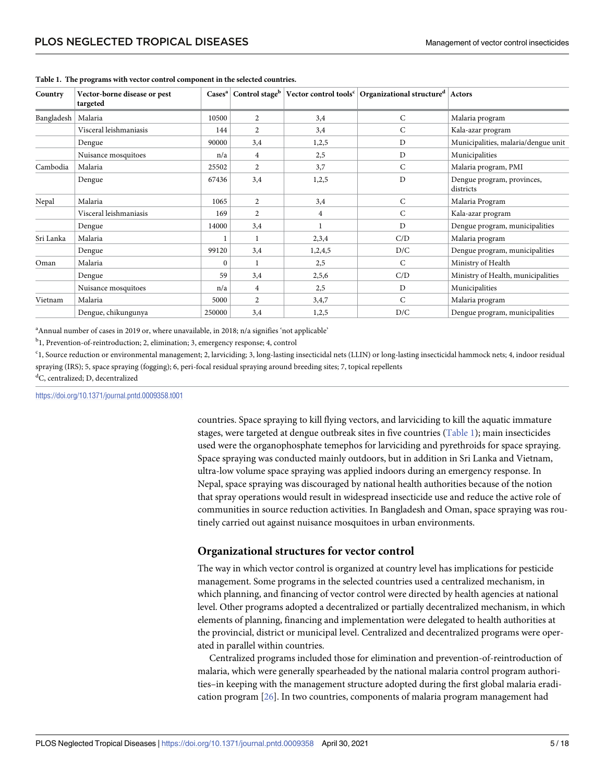| Country    | Vector-borne disease or pest<br>targeted |                  |                |                | $\text{Case}^{\text{a}}$ Control stage   Vector control tools <sup>c</sup>   Organizational structure   Actors |                                         |
|------------|------------------------------------------|------------------|----------------|----------------|----------------------------------------------------------------------------------------------------------------|-----------------------------------------|
| Bangladesh | Malaria                                  | 10500            | $\overline{c}$ | 3,4            | C                                                                                                              | Malaria program                         |
|            | Visceral leishmaniasis                   | 144              | $\overline{2}$ | 3,4            | C                                                                                                              | Kala-azar program                       |
|            | Dengue                                   | 90000            | 3,4            | 1,2,5          | D                                                                                                              | Municipalities, malaria/dengue unit     |
|            | Nuisance mosquitoes                      | n/a              | $\overline{4}$ | 2,5            | D                                                                                                              | Municipalities                          |
| Cambodia   | Malaria                                  | 25502            | $\overline{2}$ | 3,7            | $\mathsf{C}$                                                                                                   | Malaria program, PMI                    |
|            | Dengue                                   | 67436            | 3,4            | 1,2,5          | D                                                                                                              | Dengue program, provinces,<br>districts |
| Nepal      | Malaria                                  | 1065             | 2              | 3,4            | $\mathsf{C}$                                                                                                   | Malaria Program                         |
|            | Visceral leishmaniasis                   | 169              | $\overline{2}$ | $\overline{4}$ | $\mathsf{C}$                                                                                                   | Kala-azar program                       |
|            | Dengue                                   | 14000            | 3,4            | 1              | D                                                                                                              | Dengue program, municipalities          |
| Sri Lanka  | Malaria                                  |                  |                | 2,3,4          | C/D                                                                                                            | Malaria program                         |
|            | Dengue                                   | 99120            | 3,4            | 1,2,4,5        | D/C                                                                                                            | Dengue program, municipalities          |
| Oman       | Malaria                                  | $\boldsymbol{0}$ |                | 2,5            | $\mathsf{C}$                                                                                                   | Ministry of Health                      |
|            | Dengue                                   | 59               | 3,4            | 2,5,6          | C/D                                                                                                            | Ministry of Health, municipalities      |
|            | Nuisance mosquitoes                      | n/a              | 4              | 2,5            | D                                                                                                              | Municipalities                          |
| Vietnam    | Malaria                                  | 5000             | $\overline{2}$ | 3,4,7          | $\mathsf{C}$                                                                                                   | Malaria program                         |
|            | Dengue, chikungunya                      | 250000           | 3,4            | 1,2,5          | D/C                                                                                                            | Dengue program, municipalities          |

#### <span id="page-4-0"></span>**[Table](#page-3-0) 1. The programs with vector control component in the selected countries.**

<sup>a</sup> Annual number of cases in 2019 or, where unavailable, in 2018; n/a signifies 'not applicable'

<sup>b</sup>1, Prevention-of-reintroduction; 2, elimination; 3, emergency response; 4, control

c 1, Source reduction or environmental management; 2, larviciding; 3, long-lasting insecticidal nets (LLIN) or long-lasting insecticidal hammock nets; 4, indoor residual spraying (IRS); 5, space spraying (fogging); 6, peri-focal residual spraying around breeding sites; 7, topical repellents

d C, centralized; D, decentralized

<https://doi.org/10.1371/journal.pntd.0009358.t001>

countries. Space spraying to kill flying vectors, and larviciding to kill the aquatic immature stages, were targeted at dengue outbreak sites in five countries (Table 1); main insecticides used were the organophosphate temephos for larviciding and pyrethroids for space spraying. Space spraying was conducted mainly outdoors, but in addition in Sri Lanka and Vietnam, ultra-low volume space spraying was applied indoors during an emergency response. In Nepal, space spraying was discouraged by national health authorities because of the notion that spray operations would result in widespread insecticide use and reduce the active role of communities in source reduction activities. In Bangladesh and Oman, space spraying was routinely carried out against nuisance mosquitoes in urban environments.

# **Organizational structures for vector control**

The way in which vector control is organized at country level has implications for pesticide management. Some programs in the selected countries used a centralized mechanism, in which planning, and financing of vector control were directed by health agencies at national level. Other programs adopted a decentralized or partially decentralized mechanism, in which elements of planning, financing and implementation were delegated to health authorities at the provincial, district or municipal level. Centralized and decentralized programs were operated in parallel within countries.

Centralized programs included those for elimination and prevention-of-reintroduction of malaria, which were generally spearheaded by the national malaria control program authorities–in keeping with the management structure adopted during the first global malaria eradication program [\[26\]](#page-16-0). In two countries, components of malaria program management had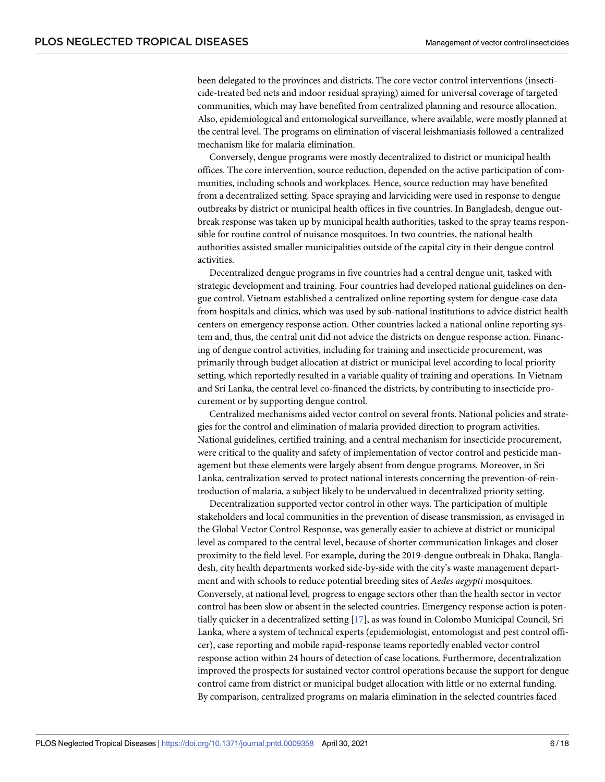<span id="page-5-0"></span>been delegated to the provinces and districts. The core vector control interventions (insecticide-treated bed nets and indoor residual spraying) aimed for universal coverage of targeted communities, which may have benefited from centralized planning and resource allocation. Also, epidemiological and entomological surveillance, where available, were mostly planned at the central level. The programs on elimination of visceral leishmaniasis followed a centralized mechanism like for malaria elimination.

Conversely, dengue programs were mostly decentralized to district or municipal health offices. The core intervention, source reduction, depended on the active participation of communities, including schools and workplaces. Hence, source reduction may have benefited from a decentralized setting. Space spraying and larviciding were used in response to dengue outbreaks by district or municipal health offices in five countries. In Bangladesh, dengue outbreak response was taken up by municipal health authorities, tasked to the spray teams responsible for routine control of nuisance mosquitoes. In two countries, the national health authorities assisted smaller municipalities outside of the capital city in their dengue control activities.

Decentralized dengue programs in five countries had a central dengue unit, tasked with strategic development and training. Four countries had developed national guidelines on dengue control. Vietnam established a centralized online reporting system for dengue-case data from hospitals and clinics, which was used by sub-national institutions to advice district health centers on emergency response action. Other countries lacked a national online reporting system and, thus, the central unit did not advice the districts on dengue response action. Financing of dengue control activities, including for training and insecticide procurement, was primarily through budget allocation at district or municipal level according to local priority setting, which reportedly resulted in a variable quality of training and operations. In Vietnam and Sri Lanka, the central level co-financed the districts, by contributing to insecticide procurement or by supporting dengue control.

Centralized mechanisms aided vector control on several fronts. National policies and strategies for the control and elimination of malaria provided direction to program activities. National guidelines, certified training, and a central mechanism for insecticide procurement, were critical to the quality and safety of implementation of vector control and pesticide management but these elements were largely absent from dengue programs. Moreover, in Sri Lanka, centralization served to protect national interests concerning the prevention-of-reintroduction of malaria, a subject likely to be undervalued in decentralized priority setting.

Decentralization supported vector control in other ways. The participation of multiple stakeholders and local communities in the prevention of disease transmission, as envisaged in the Global Vector Control Response, was generally easier to achieve at district or municipal level as compared to the central level, because of shorter communication linkages and closer proximity to the field level. For example, during the 2019-dengue outbreak in Dhaka, Bangladesh, city health departments worked side-by-side with the city's waste management department and with schools to reduce potential breeding sites of *Aedes aegypti* mosquitoes. Conversely, at national level, progress to engage sectors other than the health sector in vector control has been slow or absent in the selected countries. Emergency response action is potentially quicker in a decentralized setting [[17](#page-15-0)], as was found in Colombo Municipal Council, Sri Lanka, where a system of technical experts (epidemiologist, entomologist and pest control officer), case reporting and mobile rapid-response teams reportedly enabled vector control response action within 24 hours of detection of case locations. Furthermore, decentralization improved the prospects for sustained vector control operations because the support for dengue control came from district or municipal budget allocation with little or no external funding. By comparison, centralized programs on malaria elimination in the selected countries faced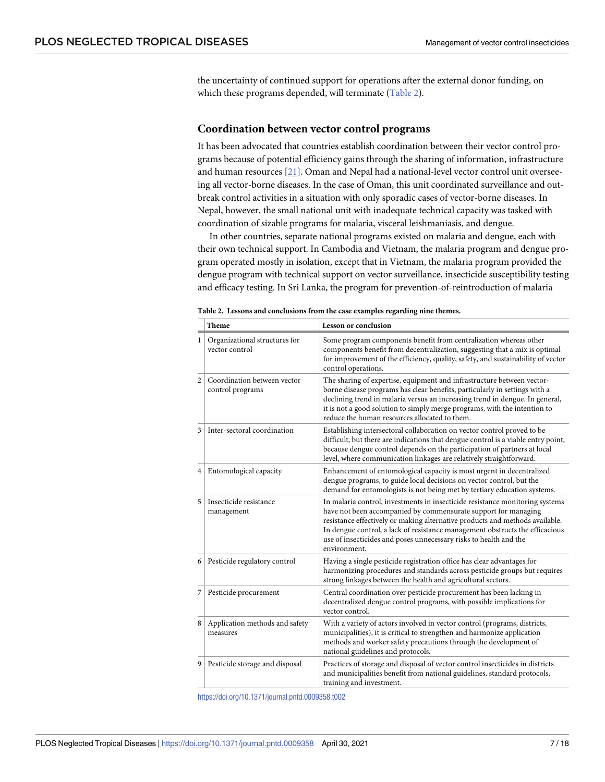<span id="page-6-0"></span>the uncertainty of continued support for operations after the external donor funding, on which these programs depended, will terminate (Table 2).

#### **Coordination between vector control programs**

It has been advocated that countries establish coordination between their vector control programs because of potential efficiency gains through the sharing of information, infrastructure and human resources [\[21\]](#page-15-0). Oman and Nepal had a national-level vector control unit overseeing all vector-borne diseases. In the case of Oman, this unit coordinated surveillance and outbreak control activities in a situation with only sporadic cases of vector-borne diseases. In Nepal, however, the small national unit with inadequate technical capacity was tasked with coordination of sizable programs for malaria, visceral leishmaniasis, and dengue.

In other countries, separate national programs existed on malaria and dengue, each with their own technical support. In Cambodia and Vietnam, the malaria program and dengue program operated mostly in isolation, except that in Vietnam, the malaria program provided the dengue program with technical support on vector surveillance, insecticide susceptibility testing and efficacy testing. In Sri Lanka, the program for prevention-of-reintroduction of malaria

|                | <b>Theme</b>                                    | <b>Lesson or conclusion</b>                                                                                                                                                                                                                                                                                                                                                                         |
|----------------|-------------------------------------------------|-----------------------------------------------------------------------------------------------------------------------------------------------------------------------------------------------------------------------------------------------------------------------------------------------------------------------------------------------------------------------------------------------------|
| 1              | Organizational structures for<br>vector control | Some program components benefit from centralization whereas other<br>components benefit from decentralization, suggesting that a mix is optimal<br>for improvement of the efficiency, quality, safety, and sustainability of vector<br>control operations.                                                                                                                                          |
| $\overline{2}$ | Coordination between vector<br>control programs | The sharing of expertise, equipment and infrastructure between vector-<br>borne disease programs has clear benefits, particularly in settings with a<br>declining trend in malaria versus an increasing trend in dengue. In general,<br>it is not a good solution to simply merge programs, with the intention to<br>reduce the human resources allocated to them.                                  |
| 3              | Inter-sectoral coordination                     | Establishing intersectoral collaboration on vector control proved to be<br>difficult, but there are indications that dengue control is a viable entry point,<br>because dengue control depends on the participation of partners at local<br>level, where communication linkages are relatively straightforward.                                                                                     |
| 4              | <b>Entomological capacity</b>                   | Enhancement of entomological capacity is most urgent in decentralized<br>dengue programs, to guide local decisions on vector control, but the<br>demand for entomologists is not being met by tertiary education systems.                                                                                                                                                                           |
| 5              | Insecticide resistance<br>management            | In malaria control, investments in insecticide resistance monitoring systems<br>have not been accompanied by commensurate support for managing<br>resistance effectively or making alternative products and methods available.<br>In dengue control, a lack of resistance management obstructs the efficacious<br>use of insecticides and poses unnecessary risks to health and the<br>environment. |
| 6              | Pesticide regulatory control                    | Having a single pesticide registration office has clear advantages for<br>harmonizing procedures and standards across pesticide groups but requires<br>strong linkages between the health and agricultural sectors.                                                                                                                                                                                 |
| 7              | Pesticide procurement                           | Central coordination over pesticide procurement has been lacking in<br>decentralized dengue control programs, with possible implications for<br>vector control.                                                                                                                                                                                                                                     |
| 8              | Application methods and safety<br>measures      | With a variety of actors involved in vector control (programs, districts,<br>municipalities), it is critical to strengthen and harmonize application<br>methods and worker safety precautions through the development of<br>national guidelines and protocols.                                                                                                                                      |
| 9              | Pesticide storage and disposal                  | Practices of storage and disposal of vector control insecticides in districts<br>and municipalities benefit from national guidelines, standard protocols,<br>training and investment.                                                                                                                                                                                                               |

**Table 2. Lessons and conclusions from the case examples regarding nine themes.**

<https://doi.org/10.1371/journal.pntd.0009358.t002>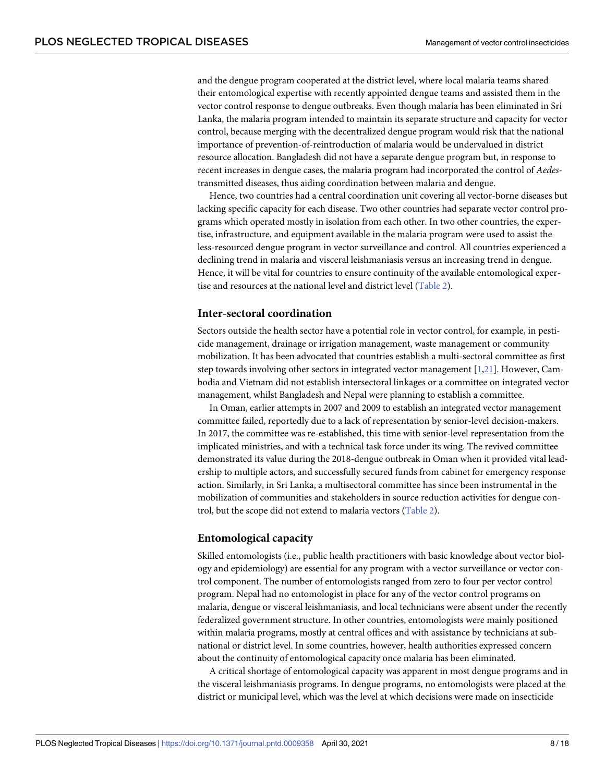and the dengue program cooperated at the district level, where local malaria teams shared their entomological expertise with recently appointed dengue teams and assisted them in the vector control response to dengue outbreaks. Even though malaria has been eliminated in Sri Lanka, the malaria program intended to maintain its separate structure and capacity for vector control, because merging with the decentralized dengue program would risk that the national importance of prevention-of-reintroduction of malaria would be undervalued in district resource allocation. Bangladesh did not have a separate dengue program but, in response to recent increases in dengue cases, the malaria program had incorporated the control of *Aedes*transmitted diseases, thus aiding coordination between malaria and dengue.

Hence, two countries had a central coordination unit covering all vector-borne diseases but lacking specific capacity for each disease. Two other countries had separate vector control programs which operated mostly in isolation from each other. In two other countries, the expertise, infrastructure, and equipment available in the malaria program were used to assist the less-resourced dengue program in vector surveillance and control. All countries experienced a declining trend in malaria and visceral leishmaniasis versus an increasing trend in dengue. Hence, it will be vital for countries to ensure continuity of the available entomological expertise and resources at the national level and district level [\(Table](#page-6-0) 2).

#### **Inter-sectoral coordination**

Sectors outside the health sector have a potential role in vector control, for example, in pesticide management, drainage or irrigation management, waste management or community mobilization. It has been advocated that countries establish a multi-sectoral committee as first step towards involving other sectors in integrated vector management [\[1,21\]](#page-15-0). However, Cambodia and Vietnam did not establish intersectoral linkages or a committee on integrated vector management, whilst Bangladesh and Nepal were planning to establish a committee.

In Oman, earlier attempts in 2007 and 2009 to establish an integrated vector management committee failed, reportedly due to a lack of representation by senior-level decision-makers. In 2017, the committee was re-established, this time with senior-level representation from the implicated ministries, and with a technical task force under its wing. The revived committee demonstrated its value during the 2018-dengue outbreak in Oman when it provided vital leadership to multiple actors, and successfully secured funds from cabinet for emergency response action. Similarly, in Sri Lanka, a multisectoral committee has since been instrumental in the mobilization of communities and stakeholders in source reduction activities for dengue control, but the scope did not extend to malaria vectors [\(Table](#page-6-0) 2).

#### **Entomological capacity**

Skilled entomologists (i.e., public health practitioners with basic knowledge about vector biology and epidemiology) are essential for any program with a vector surveillance or vector control component. The number of entomologists ranged from zero to four per vector control program. Nepal had no entomologist in place for any of the vector control programs on malaria, dengue or visceral leishmaniasis, and local technicians were absent under the recently federalized government structure. In other countries, entomologists were mainly positioned within malaria programs, mostly at central offices and with assistance by technicians at subnational or district level. In some countries, however, health authorities expressed concern about the continuity of entomological capacity once malaria has been eliminated.

A critical shortage of entomological capacity was apparent in most dengue programs and in the visceral leishmaniasis programs. In dengue programs, no entomologists were placed at the district or municipal level, which was the level at which decisions were made on insecticide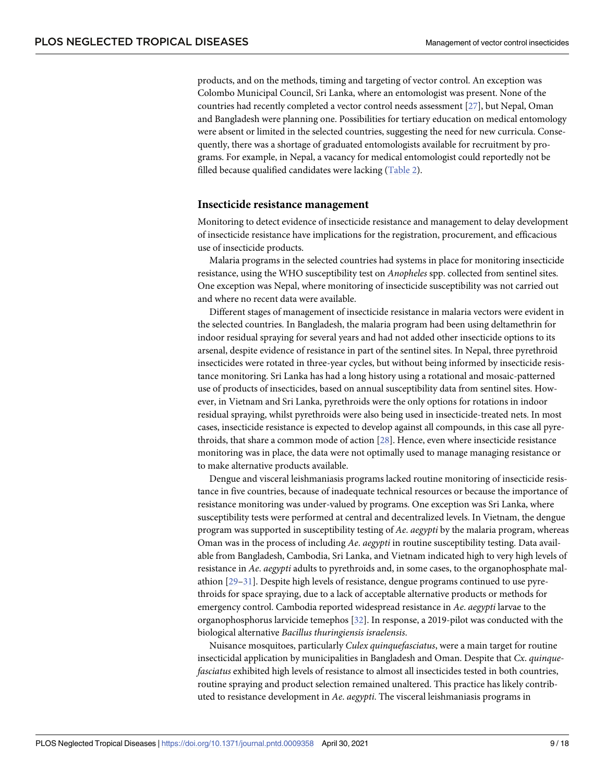<span id="page-8-0"></span>products, and on the methods, timing and targeting of vector control. An exception was Colombo Municipal Council, Sri Lanka, where an entomologist was present. None of the countries had recently completed a vector control needs assessment [\[27\]](#page-16-0), but Nepal, Oman and Bangladesh were planning one. Possibilities for tertiary education on medical entomology were absent or limited in the selected countries, suggesting the need for new curricula. Consequently, there was a shortage of graduated entomologists available for recruitment by programs. For example, in Nepal, a vacancy for medical entomologist could reportedly not be filled because qualified candidates were lacking ([Table](#page-6-0) 2).

# **Insecticide resistance management**

Monitoring to detect evidence of insecticide resistance and management to delay development of insecticide resistance have implications for the registration, procurement, and efficacious use of insecticide products.

Malaria programs in the selected countries had systems in place for monitoring insecticide resistance, using the WHO susceptibility test on *Anopheles* spp. collected from sentinel sites. One exception was Nepal, where monitoring of insecticide susceptibility was not carried out and where no recent data were available.

Different stages of management of insecticide resistance in malaria vectors were evident in the selected countries. In Bangladesh, the malaria program had been using deltamethrin for indoor residual spraying for several years and had not added other insecticide options to its arsenal, despite evidence of resistance in part of the sentinel sites. In Nepal, three pyrethroid insecticides were rotated in three-year cycles, but without being informed by insecticide resistance monitoring. Sri Lanka has had a long history using a rotational and mosaic-patterned use of products of insecticides, based on annual susceptibility data from sentinel sites. However, in Vietnam and Sri Lanka, pyrethroids were the only options for rotations in indoor residual spraying, whilst pyrethroids were also being used in insecticide-treated nets. In most cases, insecticide resistance is expected to develop against all compounds, in this case all pyrethroids, that share a common mode of action [[28](#page-16-0)]. Hence, even where insecticide resistance monitoring was in place, the data were not optimally used to manage managing resistance or to make alternative products available.

Dengue and visceral leishmaniasis programs lacked routine monitoring of insecticide resistance in five countries, because of inadequate technical resources or because the importance of resistance monitoring was under-valued by programs. One exception was Sri Lanka, where susceptibility tests were performed at central and decentralized levels. In Vietnam, the dengue program was supported in susceptibility testing of *Ae*. *aegypti* by the malaria program, whereas Oman was in the process of including *Ae*. *aegypti* in routine susceptibility testing. Data available from Bangladesh, Cambodia, Sri Lanka, and Vietnam indicated high to very high levels of resistance in *Ae*. *aegypti* adults to pyrethroids and, in some cases, to the organophosphate malathion [\[29–31\]](#page-16-0). Despite high levels of resistance, dengue programs continued to use pyrethroids for space spraying, due to a lack of acceptable alternative products or methods for emergency control. Cambodia reported widespread resistance in *Ae*. *aegypti* larvae to the organophosphorus larvicide temephos [[32](#page-16-0)]. In response, a 2019-pilot was conducted with the biological alternative *Bacillus thuringiensis israelensis*.

Nuisance mosquitoes, particularly *Culex quinquefasciatus*, were a main target for routine insecticidal application by municipalities in Bangladesh and Oman. Despite that *Cx*. *quinquefasciatus* exhibited high levels of resistance to almost all insecticides tested in both countries, routine spraying and product selection remained unaltered. This practice has likely contributed to resistance development in *Ae*. *aegypti*. The visceral leishmaniasis programs in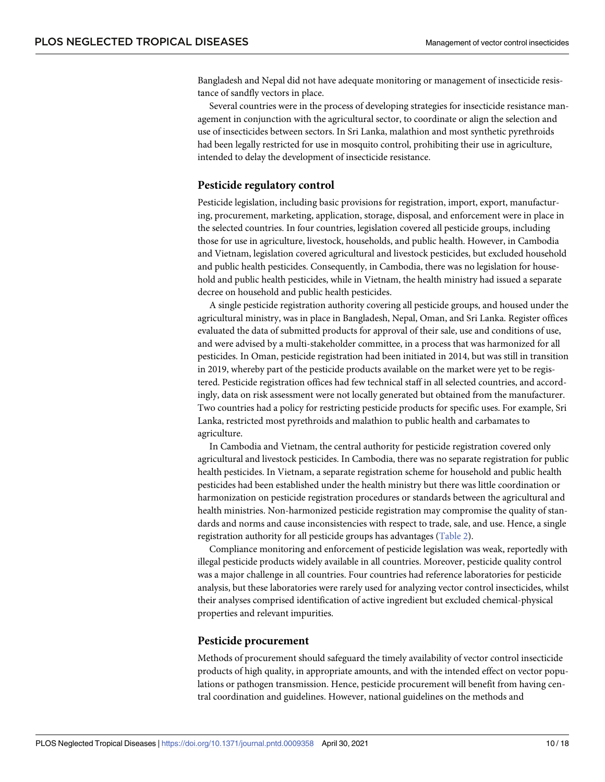Bangladesh and Nepal did not have adequate monitoring or management of insecticide resistance of sandfly vectors in place.

Several countries were in the process of developing strategies for insecticide resistance management in conjunction with the agricultural sector, to coordinate or align the selection and use of insecticides between sectors. In Sri Lanka, malathion and most synthetic pyrethroids had been legally restricted for use in mosquito control, prohibiting their use in agriculture, intended to delay the development of insecticide resistance.

# **Pesticide regulatory control**

Pesticide legislation, including basic provisions for registration, import, export, manufacturing, procurement, marketing, application, storage, disposal, and enforcement were in place in the selected countries. In four countries, legislation covered all pesticide groups, including those for use in agriculture, livestock, households, and public health. However, in Cambodia and Vietnam, legislation covered agricultural and livestock pesticides, but excluded household and public health pesticides. Consequently, in Cambodia, there was no legislation for household and public health pesticides, while in Vietnam, the health ministry had issued a separate decree on household and public health pesticides.

A single pesticide registration authority covering all pesticide groups, and housed under the agricultural ministry, was in place in Bangladesh, Nepal, Oman, and Sri Lanka. Register offices evaluated the data of submitted products for approval of their sale, use and conditions of use, and were advised by a multi-stakeholder committee, in a process that was harmonized for all pesticides. In Oman, pesticide registration had been initiated in 2014, but was still in transition in 2019, whereby part of the pesticide products available on the market were yet to be registered. Pesticide registration offices had few technical staff in all selected countries, and accordingly, data on risk assessment were not locally generated but obtained from the manufacturer. Two countries had a policy for restricting pesticide products for specific uses. For example, Sri Lanka, restricted most pyrethroids and malathion to public health and carbamates to agriculture.

In Cambodia and Vietnam, the central authority for pesticide registration covered only agricultural and livestock pesticides. In Cambodia, there was no separate registration for public health pesticides. In Vietnam, a separate registration scheme for household and public health pesticides had been established under the health ministry but there was little coordination or harmonization on pesticide registration procedures or standards between the agricultural and health ministries. Non-harmonized pesticide registration may compromise the quality of standards and norms and cause inconsistencies with respect to trade, sale, and use. Hence, a single registration authority for all pesticide groups has advantages ([Table](#page-6-0) 2).

Compliance monitoring and enforcement of pesticide legislation was weak, reportedly with illegal pesticide products widely available in all countries. Moreover, pesticide quality control was a major challenge in all countries. Four countries had reference laboratories for pesticide analysis, but these laboratories were rarely used for analyzing vector control insecticides, whilst their analyses comprised identification of active ingredient but excluded chemical-physical properties and relevant impurities.

#### **Pesticide procurement**

Methods of procurement should safeguard the timely availability of vector control insecticide products of high quality, in appropriate amounts, and with the intended effect on vector populations or pathogen transmission. Hence, pesticide procurement will benefit from having central coordination and guidelines. However, national guidelines on the methods and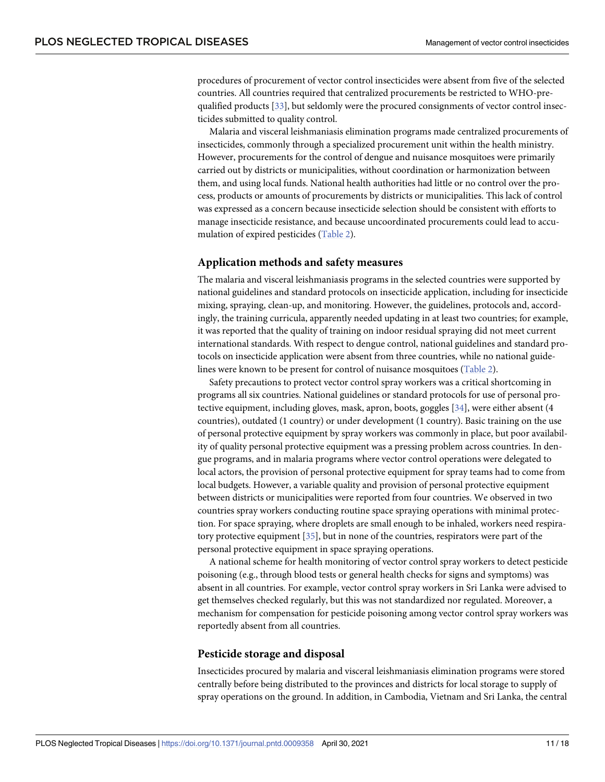<span id="page-10-0"></span>procedures of procurement of vector control insecticides were absent from five of the selected countries. All countries required that centralized procurements be restricted to WHO-prequalified products [\[33\]](#page-16-0), but seldomly were the procured consignments of vector control insecticides submitted to quality control.

Malaria and visceral leishmaniasis elimination programs made centralized procurements of insecticides, commonly through a specialized procurement unit within the health ministry. However, procurements for the control of dengue and nuisance mosquitoes were primarily carried out by districts or municipalities, without coordination or harmonization between them, and using local funds. National health authorities had little or no control over the process, products or amounts of procurements by districts or municipalities. This lack of control was expressed as a concern because insecticide selection should be consistent with efforts to manage insecticide resistance, and because uncoordinated procurements could lead to accumulation of expired pesticides [\(Table](#page-6-0) 2).

#### **Application methods and safety measures**

The malaria and visceral leishmaniasis programs in the selected countries were supported by national guidelines and standard protocols on insecticide application, including for insecticide mixing, spraying, clean-up, and monitoring. However, the guidelines, protocols and, accordingly, the training curricula, apparently needed updating in at least two countries; for example, it was reported that the quality of training on indoor residual spraying did not meet current international standards. With respect to dengue control, national guidelines and standard protocols on insecticide application were absent from three countries, while no national guidelines were known to be present for control of nuisance mosquitoes [\(Table](#page-6-0) 2).

Safety precautions to protect vector control spray workers was a critical shortcoming in programs all six countries. National guidelines or standard protocols for use of personal pro-tective equipment, including gloves, mask, apron, boots, goggles [\[34\]](#page-16-0), were either absent (4 countries), outdated (1 country) or under development (1 country). Basic training on the use of personal protective equipment by spray workers was commonly in place, but poor availability of quality personal protective equipment was a pressing problem across countries. In dengue programs, and in malaria programs where vector control operations were delegated to local actors, the provision of personal protective equipment for spray teams had to come from local budgets. However, a variable quality and provision of personal protective equipment between districts or municipalities were reported from four countries. We observed in two countries spray workers conducting routine space spraying operations with minimal protection. For space spraying, where droplets are small enough to be inhaled, workers need respiratory protective equipment [\[35\]](#page-16-0), but in none of the countries, respirators were part of the personal protective equipment in space spraying operations.

A national scheme for health monitoring of vector control spray workers to detect pesticide poisoning (e.g., through blood tests or general health checks for signs and symptoms) was absent in all countries. For example, vector control spray workers in Sri Lanka were advised to get themselves checked regularly, but this was not standardized nor regulated. Moreover, a mechanism for compensation for pesticide poisoning among vector control spray workers was reportedly absent from all countries.

#### **Pesticide storage and disposal**

Insecticides procured by malaria and visceral leishmaniasis elimination programs were stored centrally before being distributed to the provinces and districts for local storage to supply of spray operations on the ground. In addition, in Cambodia, Vietnam and Sri Lanka, the central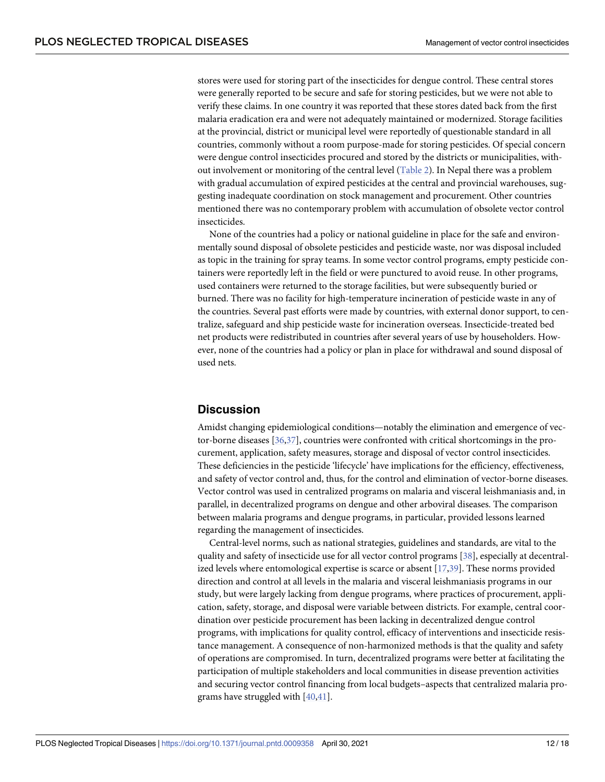<span id="page-11-0"></span>stores were used for storing part of the insecticides for dengue control. These central stores were generally reported to be secure and safe for storing pesticides, but we were not able to verify these claims. In one country it was reported that these stores dated back from the first malaria eradication era and were not adequately maintained or modernized. Storage facilities at the provincial, district or municipal level were reportedly of questionable standard in all countries, commonly without a room purpose-made for storing pesticides. Of special concern were dengue control insecticides procured and stored by the districts or municipalities, without involvement or monitoring of the central level ([Table](#page-6-0) 2). In Nepal there was a problem with gradual accumulation of expired pesticides at the central and provincial warehouses, suggesting inadequate coordination on stock management and procurement. Other countries mentioned there was no contemporary problem with accumulation of obsolete vector control insecticides.

None of the countries had a policy or national guideline in place for the safe and environmentally sound disposal of obsolete pesticides and pesticide waste, nor was disposal included as topic in the training for spray teams. In some vector control programs, empty pesticide containers were reportedly left in the field or were punctured to avoid reuse. In other programs, used containers were returned to the storage facilities, but were subsequently buried or burned. There was no facility for high-temperature incineration of pesticide waste in any of the countries. Several past efforts were made by countries, with external donor support, to centralize, safeguard and ship pesticide waste for incineration overseas. Insecticide-treated bed net products were redistributed in countries after several years of use by householders. However, none of the countries had a policy or plan in place for withdrawal and sound disposal of used nets.

# **Discussion**

Amidst changing epidemiological conditions—notably the elimination and emergence of vector-borne diseases [\[36,37\]](#page-16-0), countries were confronted with critical shortcomings in the procurement, application, safety measures, storage and disposal of vector control insecticides. These deficiencies in the pesticide 'lifecycle' have implications for the efficiency, effectiveness, and safety of vector control and, thus, for the control and elimination of vector-borne diseases. Vector control was used in centralized programs on malaria and visceral leishmaniasis and, in parallel, in decentralized programs on dengue and other arboviral diseases. The comparison between malaria programs and dengue programs, in particular, provided lessons learned regarding the management of insecticides.

Central-level norms, such as national strategies, guidelines and standards, are vital to the quality and safety of insecticide use for all vector control programs [[38](#page-16-0)], especially at decentralized levels where entomological expertise is scarce or absent [[17](#page-15-0),[39](#page-16-0)]. These norms provided direction and control at all levels in the malaria and visceral leishmaniasis programs in our study, but were largely lacking from dengue programs, where practices of procurement, application, safety, storage, and disposal were variable between districts. For example, central coordination over pesticide procurement has been lacking in decentralized dengue control programs, with implications for quality control, efficacy of interventions and insecticide resistance management. A consequence of non-harmonized methods is that the quality and safety of operations are compromised. In turn, decentralized programs were better at facilitating the participation of multiple stakeholders and local communities in disease prevention activities and securing vector control financing from local budgets–aspects that centralized malaria programs have struggled with [[40](#page-16-0),[41](#page-16-0)].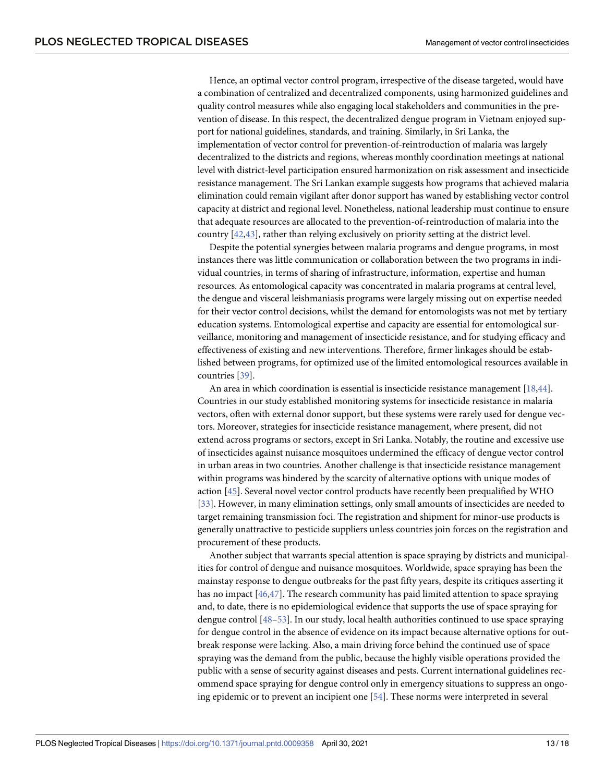<span id="page-12-0"></span>Hence, an optimal vector control program, irrespective of the disease targeted, would have a combination of centralized and decentralized components, using harmonized guidelines and quality control measures while also engaging local stakeholders and communities in the prevention of disease. In this respect, the decentralized dengue program in Vietnam enjoyed support for national guidelines, standards, and training. Similarly, in Sri Lanka, the implementation of vector control for prevention-of-reintroduction of malaria was largely decentralized to the districts and regions, whereas monthly coordination meetings at national level with district-level participation ensured harmonization on risk assessment and insecticide resistance management. The Sri Lankan example suggests how programs that achieved malaria elimination could remain vigilant after donor support has waned by establishing vector control capacity at district and regional level. Nonetheless, national leadership must continue to ensure that adequate resources are allocated to the prevention-of-reintroduction of malaria into the country [[42](#page-17-0),[43](#page-17-0)], rather than relying exclusively on priority setting at the district level.

Despite the potential synergies between malaria programs and dengue programs, in most instances there was little communication or collaboration between the two programs in individual countries, in terms of sharing of infrastructure, information, expertise and human resources. As entomological capacity was concentrated in malaria programs at central level, the dengue and visceral leishmaniasis programs were largely missing out on expertise needed for their vector control decisions, whilst the demand for entomologists was not met by tertiary education systems. Entomological expertise and capacity are essential for entomological surveillance, monitoring and management of insecticide resistance, and for studying efficacy and effectiveness of existing and new interventions. Therefore, firmer linkages should be established between programs, for optimized use of the limited entomological resources available in countries [[39](#page-16-0)].

An area in which coordination is essential is insecticide resistance management [[18](#page-15-0),[44](#page-17-0)]. Countries in our study established monitoring systems for insecticide resistance in malaria vectors, often with external donor support, but these systems were rarely used for dengue vectors. Moreover, strategies for insecticide resistance management, where present, did not extend across programs or sectors, except in Sri Lanka. Notably, the routine and excessive use of insecticides against nuisance mosquitoes undermined the efficacy of dengue vector control in urban areas in two countries. Another challenge is that insecticide resistance management within programs was hindered by the scarcity of alternative options with unique modes of action [\[45\]](#page-17-0). Several novel vector control products have recently been prequalified by WHO [\[33\]](#page-16-0). However, in many elimination settings, only small amounts of insecticides are needed to target remaining transmission foci. The registration and shipment for minor-use products is generally unattractive to pesticide suppliers unless countries join forces on the registration and procurement of these products.

Another subject that warrants special attention is space spraying by districts and municipalities for control of dengue and nuisance mosquitoes. Worldwide, space spraying has been the mainstay response to dengue outbreaks for the past fifty years, despite its critiques asserting it has no impact [\[46,47\]](#page-17-0). The research community has paid limited attention to space spraying and, to date, there is no epidemiological evidence that supports the use of space spraying for dengue control [\[48](#page-17-0)–[53](#page-17-0)]. In our study, local health authorities continued to use space spraying for dengue control in the absence of evidence on its impact because alternative options for outbreak response were lacking. Also, a main driving force behind the continued use of space spraying was the demand from the public, because the highly visible operations provided the public with a sense of security against diseases and pests. Current international guidelines recommend space spraying for dengue control only in emergency situations to suppress an ongoing epidemic or to prevent an incipient one [[54](#page-17-0)]. These norms were interpreted in several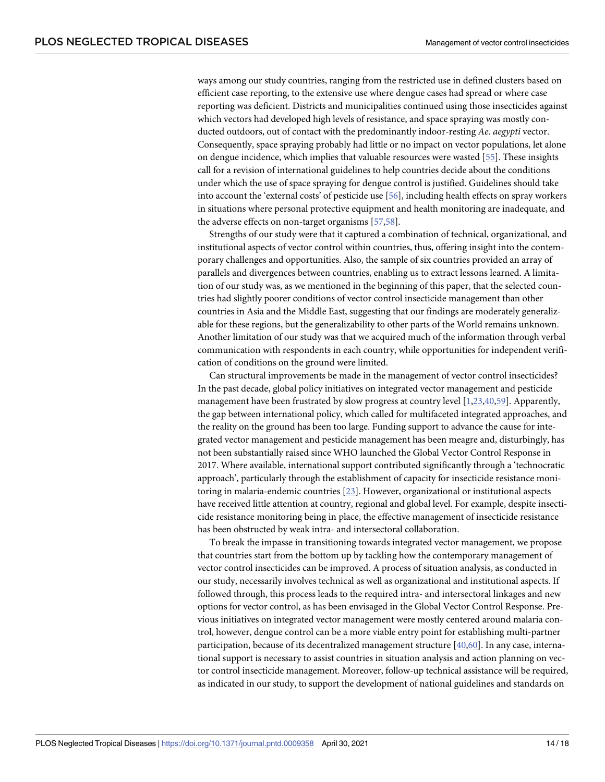<span id="page-13-0"></span>ways among our study countries, ranging from the restricted use in defined clusters based on efficient case reporting, to the extensive use where dengue cases had spread or where case reporting was deficient. Districts and municipalities continued using those insecticides against which vectors had developed high levels of resistance, and space spraying was mostly conducted outdoors, out of contact with the predominantly indoor-resting *Ae*. *aegypti* vector. Consequently, space spraying probably had little or no impact on vector populations, let alone on dengue incidence, which implies that valuable resources were wasted [[55](#page-17-0)]. These insights call for a revision of international guidelines to help countries decide about the conditions under which the use of space spraying for dengue control is justified. Guidelines should take into account the 'external costs' of pesticide use [[56\]](#page-17-0), including health effects on spray workers in situations where personal protective equipment and health monitoring are inadequate, and the adverse effects on non-target organisms [\[57,58\]](#page-17-0).

Strengths of our study were that it captured a combination of technical, organizational, and institutional aspects of vector control within countries, thus, offering insight into the contemporary challenges and opportunities. Also, the sample of six countries provided an array of parallels and divergences between countries, enabling us to extract lessons learned. A limitation of our study was, as we mentioned in the beginning of this paper, that the selected countries had slightly poorer conditions of vector control insecticide management than other countries in Asia and the Middle East, suggesting that our findings are moderately generalizable for these regions, but the generalizability to other parts of the World remains unknown. Another limitation of our study was that we acquired much of the information through verbal communication with respondents in each country, while opportunities for independent verification of conditions on the ground were limited.

Can structural improvements be made in the management of vector control insecticides? In the past decade, global policy initiatives on integrated vector management and pesticide management have been frustrated by slow progress at country level [[1,](#page-15-0)[23](#page-16-0),[40](#page-16-0)[,59\]](#page-17-0). Apparently, the gap between international policy, which called for multifaceted integrated approaches, and the reality on the ground has been too large. Funding support to advance the cause for integrated vector management and pesticide management has been meagre and, disturbingly, has not been substantially raised since WHO launched the Global Vector Control Response in 2017. Where available, international support contributed significantly through a 'technocratic approach', particularly through the establishment of capacity for insecticide resistance monitoring in malaria-endemic countries [\[23\]](#page-16-0). However, organizational or institutional aspects have received little attention at country, regional and global level. For example, despite insecticide resistance monitoring being in place, the effective management of insecticide resistance has been obstructed by weak intra- and intersectoral collaboration.

To break the impasse in transitioning towards integrated vector management, we propose that countries start from the bottom up by tackling how the contemporary management of vector control insecticides can be improved. A process of situation analysis, as conducted in our study, necessarily involves technical as well as organizational and institutional aspects. If followed through, this process leads to the required intra- and intersectoral linkages and new options for vector control, as has been envisaged in the Global Vector Control Response. Previous initiatives on integrated vector management were mostly centered around malaria control, however, dengue control can be a more viable entry point for establishing multi-partner participation, because of its decentralized management structure  $[40,60]$  $[40,60]$ . In any case, international support is necessary to assist countries in situation analysis and action planning on vector control insecticide management. Moreover, follow-up technical assistance will be required, as indicated in our study, to support the development of national guidelines and standards on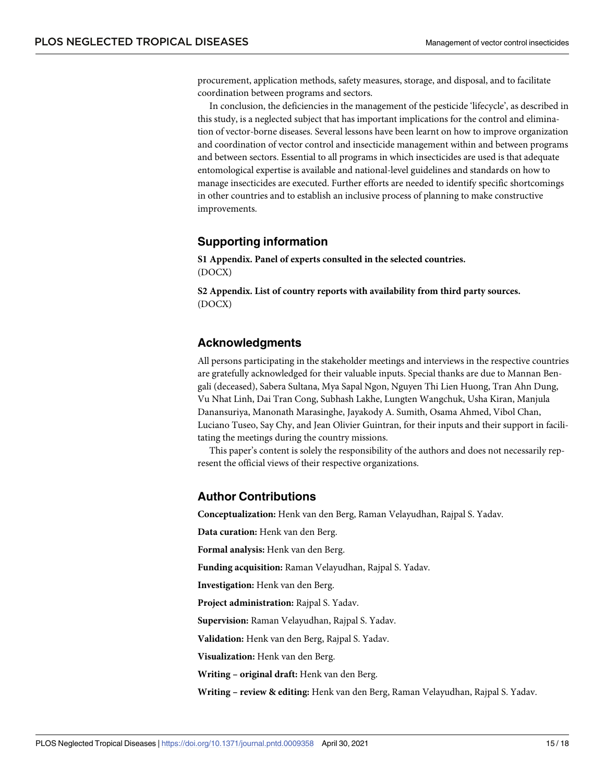<span id="page-14-0"></span>procurement, application methods, safety measures, storage, and disposal, and to facilitate coordination between programs and sectors.

In conclusion, the deficiencies in the management of the pesticide 'lifecycle', as described in this study, is a neglected subject that has important implications for the control and elimination of vector-borne diseases. Several lessons have been learnt on how to improve organization and coordination of vector control and insecticide management within and between programs and between sectors. Essential to all programs in which insecticides are used is that adequate entomological expertise is available and national-level guidelines and standards on how to manage insecticides are executed. Further efforts are needed to identify specific shortcomings in other countries and to establish an inclusive process of planning to make constructive improvements.

# **Supporting information**

**S1 [Appendix](http://journals.plos.org/plosntds/article/asset?unique&id=info:doi/10.1371/journal.pntd.0009358.s001). Panel of experts consulted in the selected countries.** (DOCX)

**S2 [Appendix](http://journals.plos.org/plosntds/article/asset?unique&id=info:doi/10.1371/journal.pntd.0009358.s002). List of country reports with availability from third party sources.** (DOCX)

# **Acknowledgments**

All persons participating in the stakeholder meetings and interviews in the respective countries are gratefully acknowledged for their valuable inputs. Special thanks are due to Mannan Bengali (deceased), Sabera Sultana, Mya Sapal Ngon, Nguyen Thi Lien Huong, Tran Ahn Dung, Vu Nhat Linh, Dai Tran Cong, Subhash Lakhe, Lungten Wangchuk, Usha Kiran, Manjula Danansuriya, Manonath Marasinghe, Jayakody A. Sumith, Osama Ahmed, Vibol Chan, Luciano Tuseo, Say Chy, and Jean Olivier Guintran, for their inputs and their support in facilitating the meetings during the country missions.

This paper's content is solely the responsibility of the authors and does not necessarily represent the official views of their respective organizations.

# **Author Contributions**

**Conceptualization:** Henk van den Berg, Raman Velayudhan, Rajpal S. Yadav.

**Data curation:** Henk van den Berg.

**Formal analysis:** Henk van den Berg.

**Funding acquisition:** Raman Velayudhan, Rajpal S. Yadav.

**Investigation:** Henk van den Berg.

**Project administration:** Rajpal S. Yadav.

**Supervision:** Raman Velayudhan, Rajpal S. Yadav.

**Validation:** Henk van den Berg, Rajpal S. Yadav.

**Visualization:** Henk van den Berg.

**Writing – original draft:** Henk van den Berg.

**Writing – review & editing:** Henk van den Berg, Raman Velayudhan, Rajpal S. Yadav.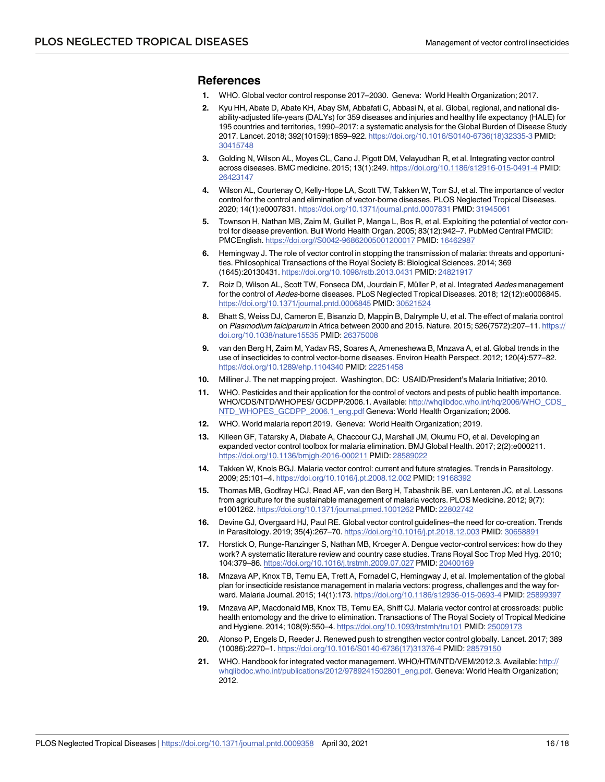#### <span id="page-15-0"></span>**References**

- **[1](#page-1-0).** WHO. Global vector control response 2017–2030. Geneva: World Health Organization; 2017.
- **[2](#page-1-0).** Kyu HH, Abate D, Abate KH, Abay SM, Abbafati C, Abbasi N, et al. Global, regional, and national disability-adjusted life-years (DALYs) for 359 diseases and injuries and healthy life expectancy (HALE) for 195 countries and territories, 1990–2017: a systematic analysis for the Global Burden of Disease Study 2017. Lancet. 2018; 392(10159):1859–922. [https://doi.org/10.1016/S0140-6736\(18\)32335-3](https://doi.org/10.1016/S0140-6736%2818%2932335-3) PMID: [30415748](http://www.ncbi.nlm.nih.gov/pubmed/30415748)
- **[3](#page-1-0).** Golding N, Wilson AL, Moyes CL, Cano J, Pigott DM, Velayudhan R, et al. Integrating vector control across diseases. BMC medicine. 2015; 13(1):249. <https://doi.org/10.1186/s12916-015-0491-4> PMID: [26423147](http://www.ncbi.nlm.nih.gov/pubmed/26423147)
- **[4](#page-1-0).** Wilson AL, Courtenay O, Kelly-Hope LA, Scott TW, Takken W, Torr SJ, et al. The importance of vector control for the control and elimination of vector-borne diseases. PLOS Neglected Tropical Diseases. 2020; 14(1):e0007831. <https://doi.org/10.1371/journal.pntd.0007831> PMID: [31945061](http://www.ncbi.nlm.nih.gov/pubmed/31945061)
- **5.** Townson H, Nathan MB, Zaim M, Guillet P, Manga L, Bos R, et al. Exploiting the potential of vector control for disease prevention. Bull World Health Organ. 2005; 83(12):942–7. PubMed Central PMCID: PMCEnglish. <https://doi.org//S0042-96862005001200017> PMID: [16462987](http://www.ncbi.nlm.nih.gov/pubmed/16462987)
- **6.** Hemingway J. The role of vector control in stopping the transmission of malaria: threats and opportunities. Philosophical Transactions of the Royal Society B: Biological Sciences. 2014; 369 (1645):20130431. <https://doi.org/10.1098/rstb.2013.0431> PMID: [24821917](http://www.ncbi.nlm.nih.gov/pubmed/24821917)
- **7.** Roiz D, Wilson AL, Scott TW, Fonseca DM, Jourdain F, Müller P, et al. Integrated Aedes management for the control of Aedes-borne diseases. PLoS Neglected Tropical Diseases. 2018; 12(12):e0006845. <https://doi.org/10.1371/journal.pntd.0006845> PMID: [30521524](http://www.ncbi.nlm.nih.gov/pubmed/30521524)
- **[8](#page-1-0).** Bhatt S, Weiss DJ, Cameron E, Bisanzio D, Mappin B, Dalrymple U, et al. The effect of malaria control on Plasmodium falciparum in Africa between 2000 and 2015. Nature. 2015; 526(7572):207–11. [https://](https://doi.org/10.1038/nature15535) [doi.org/10.1038/nature15535](https://doi.org/10.1038/nature15535) PMID: [26375008](http://www.ncbi.nlm.nih.gov/pubmed/26375008)
- **[9](#page-1-0).** van den Berg H, Zaim M, Yadav RS, Soares A, Ameneshewa B, Mnzava A, et al. Global trends in the use of insecticides to control vector-borne diseases. Environ Health Perspect. 2012; 120(4):577–82. <https://doi.org/10.1289/ehp.1104340> PMID: [22251458](http://www.ncbi.nlm.nih.gov/pubmed/22251458)
- **10.** Milliner J. The net mapping project. Washington, DC: USAID/President's Malaria Initiative; 2010.
- **[11](#page-1-0).** WHO. Pesticides and their application for the control of vectors and pests of public health importance. WHO/CDS/NTD/WHOPES/ GCDPP/2006.1. Available: [http://whqlibdoc.who.int/hq/2006/WHO\\_CDS\\_](http://whqlibdoc.who.int/hq/2006/WHO_CDS_NTD_WHOPES_GCDPP_2006.1_eng.pdf) [NTD\\_WHOPES\\_GCDPP\\_2006.1\\_eng.pdf](http://whqlibdoc.who.int/hq/2006/WHO_CDS_NTD_WHOPES_GCDPP_2006.1_eng.pdf) Geneva: World Health Organization; 2006.
- **[12](#page-1-0).** WHO. World malaria report 2019. Geneva: World Health Organization; 2019.
- **[13](#page-1-0).** Killeen GF, Tatarsky A, Diabate A, Chaccour CJ, Marshall JM, Okumu FO, et al. Developing an expanded vector control toolbox for malaria elimination. BMJ Global Health. 2017; 2(2):e000211. <https://doi.org/10.1136/bmjgh-2016-000211> PMID: [28589022](http://www.ncbi.nlm.nih.gov/pubmed/28589022)
- **14.** Takken W, Knols BGJ. Malaria vector control: current and future strategies. Trends in Parasitology. 2009; 25:101–4. <https://doi.org/10.1016/j.pt.2008.12.002> PMID: [19168392](http://www.ncbi.nlm.nih.gov/pubmed/19168392)
- **[15](#page-1-0).** Thomas MB, Godfray HCJ, Read AF, van den Berg H, Tabashnik BE, van Lenteren JC, et al. Lessons from agriculture for the sustainable management of malaria vectors. PLOS Medicine. 2012; 9(7): e1001262. <https://doi.org/10.1371/journal.pmed.1001262> PMID: [22802742](http://www.ncbi.nlm.nih.gov/pubmed/22802742)
- **[16](#page-1-0).** Devine GJ, Overgaard HJ, Paul RE. Global vector control guidelines–the need for co-creation. Trends in Parasitology. 2019; 35(4):267–70. <https://doi.org/10.1016/j.pt.2018.12.003> PMID: [30658891](http://www.ncbi.nlm.nih.gov/pubmed/30658891)
- **[17](#page-5-0).** Horstick O, Runge-Ranzinger S, Nathan MB, Kroeger A. Dengue vector-control services: how do they work? A systematic literature review and country case studies. Trans Royal Soc Trop Med Hyg. 2010; 104:379–86. <https://doi.org/10.1016/j.trstmh.2009.07.027> PMID: [20400169](http://www.ncbi.nlm.nih.gov/pubmed/20400169)
- **[18](#page-12-0).** Mnzava AP, Knox TB, Temu EA, Trett A, Fornadel C, Hemingway J, et al. Implementation of the global plan for insecticide resistance management in malaria vectors: progress, challenges and the way forward. Malaria Journal. 2015; 14(1):173. <https://doi.org/10.1186/s12936-015-0693-4> PMID: [25899397](http://www.ncbi.nlm.nih.gov/pubmed/25899397)
- **[19](#page-1-0).** Mnzava AP, Macdonald MB, Knox TB, Temu EA, Shiff CJ. Malaria vector control at crossroads: public health entomology and the drive to elimination. Transactions of The Royal Society of Tropical Medicine and Hygiene. 2014; 108(9):550–4. <https://doi.org/10.1093/trstmh/tru101> PMID: [25009173](http://www.ncbi.nlm.nih.gov/pubmed/25009173)
- **[20](#page-1-0).** Alonso P, Engels D, Reeder J. Renewed push to strengthen vector control globally. Lancet. 2017; 389 (10086):2270–1. [https://doi.org/10.1016/S0140-6736\(17\)31376-4](https://doi.org/10.1016/S0140-6736%2817%2931376-4) PMID: [28579150](http://www.ncbi.nlm.nih.gov/pubmed/28579150)
- **[21](#page-1-0).** WHO. Handbook for integrated vector management. WHO/HTM/NTD/VEM/2012.3. Available: [http://](http://whqlibdoc.who.int/publications/2012/9789241502801_eng.pdf) [whqlibdoc.who.int/publications/2012/9789241502801\\_eng.pdf](http://whqlibdoc.who.int/publications/2012/9789241502801_eng.pdf). Geneva: World Health Organization; 2012.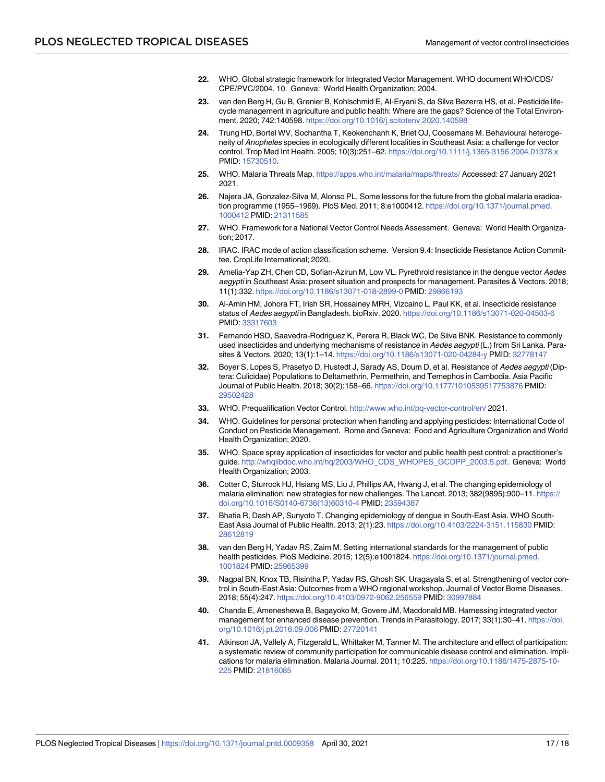- <span id="page-16-0"></span>**[22](#page-1-0).** WHO. Global strategic framework for Integrated Vector Management. WHO document WHO/CDS/ CPE/PVC/2004. 10. Geneva: World Health Organization; 2004.
- **[23](#page-2-0).** van den Berg H, Gu B, Grenier B, Kohlschmid E, Al-Eryani S, da Silva Bezerra HS, et al. Pesticide lifecycle management in agriculture and public health: Where are the gaps? Science of the Total Environment. 2020; 742:140598. <https://doi.org/10.1016/j.scitotenv.2020.140598>
- **[24](#page-3-0).** Trung HD, Bortel WV, Sochantha T, Keokenchanh K, Briet OJ, Coosemans M. Behavioural heterogeneity of Anopheles species in ecologically different localities in Southeast Asia: a challenge for vector control. Trop Med Int Health. 2005; 10(3):251–62. <https://doi.org/10.1111/j.1365-3156.2004.01378.x> PMID: [15730510](http://www.ncbi.nlm.nih.gov/pubmed/15730510).
- **[25](#page-3-0).** WHO. Malaria Threats Map. <https://apps.who.int/malaria/maps/threats/> Accessed: 27 January 2021 2021.
- **[26](#page-4-0).** Najera JA, Gonzalez-Silva M, Alonso PL. Some lessons for the future from the global malaria eradication programme (1955–1969). PloS Med. 2011; 8:e1000412. [https://doi.org/10.1371/journal.pmed.](https://doi.org/10.1371/journal.pmed.1000412) [1000412](https://doi.org/10.1371/journal.pmed.1000412) PMID: [21311585](http://www.ncbi.nlm.nih.gov/pubmed/21311585)
- **[27](#page-8-0).** WHO. Framework for a National Vector Control Needs Assessment. Geneva: World Health Organization; 2017.
- **[28](#page-8-0).** IRAC. IRAC mode of action classification scheme. Version 9.4: Insecticide Resistance Action Committee, CropLife International; 2020.
- **[29](#page-8-0).** Amelia-Yap ZH, Chen CD, Sofian-Azirun M, Low VL. Pyrethroid resistance in the dengue vector Aedes aegypti in Southeast Asia: present situation and prospects for management. Parasites & Vectors. 2018; 11(1):332. <https://doi.org/10.1186/s13071-018-2899-0> PMID: [29866193](http://www.ncbi.nlm.nih.gov/pubmed/29866193)
- **30.** Al-Amin HM, Johora FT, Irish SR, Hossainey MRH, Vizcaino L, Paul KK, et al. Insecticide resistance status of Aedes aegypti in Bangladesh. bioRxiv. 2020. <https://doi.org/10.1186/s13071-020-04503-6> PMID: [33317603](http://www.ncbi.nlm.nih.gov/pubmed/33317603)
- **[31](#page-8-0).** Fernando HSD, Saavedra-Rodriguez K, Perera R, Black WC, De Silva BNK. Resistance to commonly used insecticides and underlying mechanisms of resistance in Aedes aegypti (L.) from Sri Lanka. Parasites & Vectors. 2020; 13(1):1–14. <https://doi.org/10.1186/s13071-020-04284-y> PMID: [32778147](http://www.ncbi.nlm.nih.gov/pubmed/32778147)
- **[32](#page-8-0).** Boyer S, Lopes S, Prasetyo D, Hustedt J, Sarady AS, Doum D, et al. Resistance of Aedes aegypti (Diptera: Culicidae) Populations to Deltamethrin, Permethrin, and Temephos in Cambodia. Asia Pacific Journal of Public Health. 2018; 30(2):158–66. <https://doi.org/10.1177/1010539517753876> PMID: [29502428](http://www.ncbi.nlm.nih.gov/pubmed/29502428)
- **[33](#page-10-0).** WHO. Prequalification Vector Control. <http://www.who.int/pq-vector-control/en/> 2021.
- **[34](#page-10-0).** WHO. Guidelines for personal protection when handling and applying pesticides: International Code of Conduct on Pesticide Management. Rome and Geneva: Food and Agriculture Organization and World Health Organization; 2020.
- **[35](#page-10-0).** WHO. Space spray application of insecticides for vector and public health pest control: a practitioner's guide. [http://whqlibdoc.who.int/hq/2003/WHO\\_CDS\\_WHOPES\\_GCDPP\\_2003.5.pdf](http://whqlibdoc.who.int/hq/2003/WHO_CDS_WHOPES_GCDPP_2003.5.pdf). Geneva: World Health Organization; 2003.
- **[36](#page-11-0).** Cotter C, Sturrock HJ, Hsiang MS, Liu J, Phillips AA, Hwang J, et al. The changing epidemiology of malaria elimination: new strategies for new challenges. The Lancet. 2013; 382(9895):900–11. [https://](https://doi.org/10.1016/S0140-6736%2813%2960310-4) [doi.org/10.1016/S0140-6736\(13\)60310-4](https://doi.org/10.1016/S0140-6736%2813%2960310-4) PMID: [23594387](http://www.ncbi.nlm.nih.gov/pubmed/23594387)
- **[37](#page-11-0).** Bhatia R, Dash AP, Sunyoto T. Changing epidemiology of dengue in South-East Asia. WHO South-East Asia Journal of Public Health. 2013; 2(1):23. <https://doi.org/10.4103/2224-3151.115830> PMID: [28612819](http://www.ncbi.nlm.nih.gov/pubmed/28612819)
- **[38](#page-11-0).** van den Berg H, Yadav RS, Zaim M. Setting international standards for the management of public health pesticides. PloS Medicine. 2015; 12(5):e1001824. [https://doi.org/10.1371/journal.pmed.](https://doi.org/10.1371/journal.pmed.1001824) [1001824](https://doi.org/10.1371/journal.pmed.1001824) PMID: [25965399](http://www.ncbi.nlm.nih.gov/pubmed/25965399)
- **[39](#page-11-0).** Nagpal BN, Knox TB, Risintha P, Yadav RS, Ghosh SK, Uragayala S, et al. Strengthening of vector control in South-East Asia: Outcomes from a WHO regional workshop. Journal of Vector Borne Diseases. 2018; 55(4):247. <https://doi.org/10.4103/0972-9062.256559> PMID: [30997884](http://www.ncbi.nlm.nih.gov/pubmed/30997884)
- **[40](#page-11-0).** Chanda E, Ameneshewa B, Bagayoko M, Govere JM, Macdonald MB. Harnessing integrated vector management for enhanced disease prevention. Trends in Parasitology. 2017; 33(1):30–41. [https://doi.](https://doi.org/10.1016/j.pt.2016.09.006) [org/10.1016/j.pt.2016.09.006](https://doi.org/10.1016/j.pt.2016.09.006) PMID: [27720141](http://www.ncbi.nlm.nih.gov/pubmed/27720141)
- **[41](#page-11-0).** Atkinson JA, Vallely A, Fitzgerald L, Whittaker M, Tanner M. The architecture and effect of participation: a systematic review of community participation for communicable disease control and elimination. Implications for malaria elimination. Malaria Journal. 2011; 10:225. [https://doi.org/10.1186/1475-2875-10-](https://doi.org/10.1186/1475-2875-10-225) [225](https://doi.org/10.1186/1475-2875-10-225) PMID: [21816085](http://www.ncbi.nlm.nih.gov/pubmed/21816085)